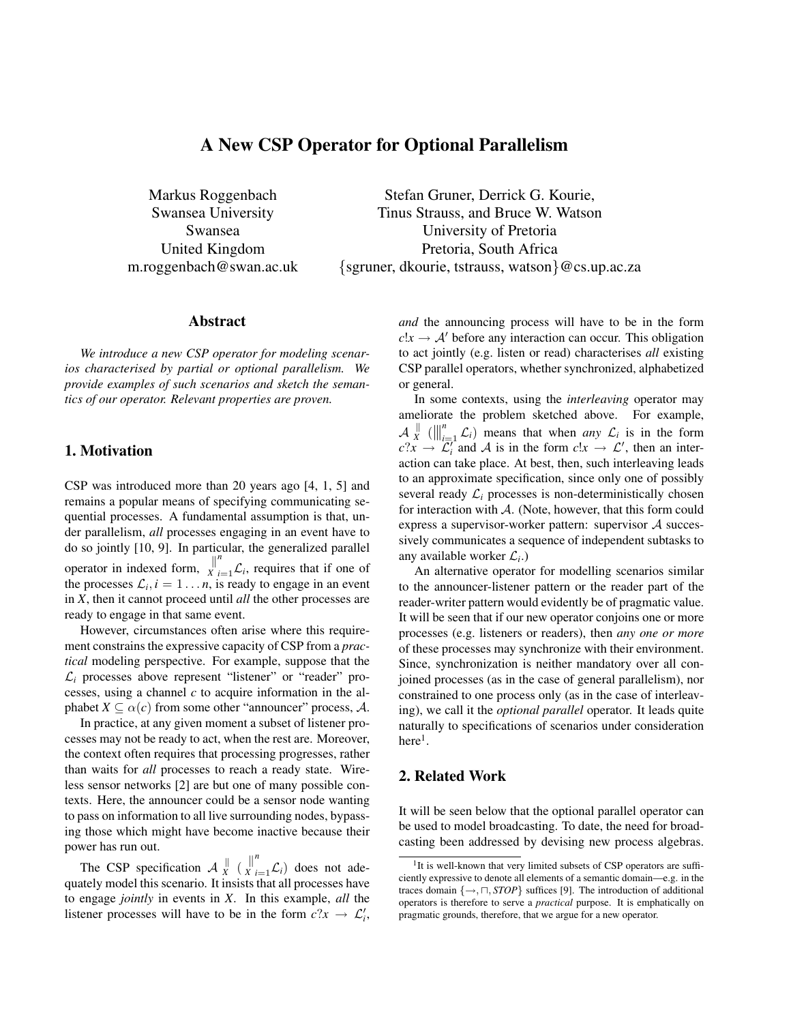# A New CSP Operator for Optional Parallelism

Markus Roggenbach Swansea University Swansea United Kingdom m.roggenbach@swan.ac.uk

Stefan Gruner, Derrick G. Kourie, Tinus Strauss, and Bruce W. Watson University of Pretoria Pretoria, South Africa {sgruner, dkourie, tstrauss, watson}@cs.up.ac.za

# Abstract

*We introduce a new CSP operator for modeling scenarios characterised by partial or optional parallelism. We provide examples of such scenarios and sketch the semantics of our operator. Relevant properties are proven.*

### 1. Motivation

CSP was introduced more than 20 years ago [4, 1, 5] and remains a popular means of specifying communicating sequential processes. A fundamental assumption is that, under parallelism, *all* processes engaging in an event have to do so jointly [10, 9]. In particular, the generalized parallel operator in indexed form,  $\frac{1}{x}$  $\sum_{i=1}^{n} \mathcal{L}_i$ , requires that if one of the processes  $\mathcal{L}_i$ ,  $i = 1 \dots n$ , is ready to engage in an event in *X*, then it cannot proceed until *all* the other processes are ready to engage in that same event.

However, circumstances often arise where this requirement constrains the expressive capacity of CSP from a *practical* modeling perspective. For example, suppose that the  $\mathcal{L}_i$  processes above represent "listener" or "reader" processes, using a channel *c* to acquire information in the alphabet  $X \subseteq \alpha(c)$  from some other "announcer" process, A.

In practice, at any given moment a subset of listener processes may not be ready to act, when the rest are. Moreover, the context often requires that processing progresses, rather than waits for *all* processes to reach a ready state. Wireless sensor networks [2] are but one of many possible contexts. Here, the announcer could be a sensor node wanting to pass on information to all live surrounding nodes, bypassing those which might have become inactive because their power has run out.

The CSP specification  $A_{X}^{\parallel}$  $\frac{1}{x}$  ( $\frac{1}{x}$ ) *X*  $\sum_{i=1}^{n}$  L<sub>*i*</sub>) does not adequately model this scenario. It insists that all processes have to engage *jointly* in events in *X*. In this example, *all* the listener processes will have to be in the form  $c$ ? $x \rightarrow \mathcal{L}'_i$ , *and* the announcing process will have to be in the form  $c!x \rightarrow A'$  before any interaction can occur. This obligation to act jointly (e.g. listen or read) characterises *all* existing CSP parallel operators, whether synchronized, alphabetized or general.

In some contexts, using the *interleaving* operator may ameliorate the problem sketched above. For example,  $\mathcal{A} \mathop{\Downarrow}\limits_{x}$  $\| \textbf{f}(x) \|_{i=1}^n$  L<sub>i</sub>) means that when *any*  $\mathcal{L}_i$  is in the form  $c^2x \rightarrow \overline{\mathcal{L}}_i^r$  and A is in the form  $c!x \rightarrow \mathcal{L}'$ , then an interaction can take place. At best, then, such interleaving leads to an approximate specification, since only one of possibly several ready  $\mathcal{L}_i$  processes is non-deterministically chosen for interaction with  $A$ . (Note, however, that this form could express a supervisor-worker pattern: supervisor  $A$  successively communicates a sequence of independent subtasks to any available worker L*<sup>i</sup>* .)

An alternative operator for modelling scenarios similar to the announcer-listener pattern or the reader part of the reader-writer pattern would evidently be of pragmatic value. It will be seen that if our new operator conjoins one or more processes (e.g. listeners or readers), then *any one or more* of these processes may synchronize with their environment. Since, synchronization is neither mandatory over all conjoined processes (as in the case of general parallelism), nor constrained to one process only (as in the case of interleaving), we call it the *optional parallel* operator. It leads quite naturally to specifications of scenarios under consideration here $^1$ .

# 2. Related Work

It will be seen below that the optional parallel operator can be used to model broadcasting. To date, the need for broadcasting been addressed by devising new process algebras.

<sup>&</sup>lt;sup>1</sup>It is well-known that very limited subsets of CSP operators are sufficiently expressive to denote all elements of a semantic domain—e.g. in the traces domain  $\{\rightarrow, \sqcap, STOP\}$  suffices [9]. The introduction of additional operators is therefore to serve a *practical* purpose. It is emphatically on pragmatic grounds, therefore, that we argue for a new operator.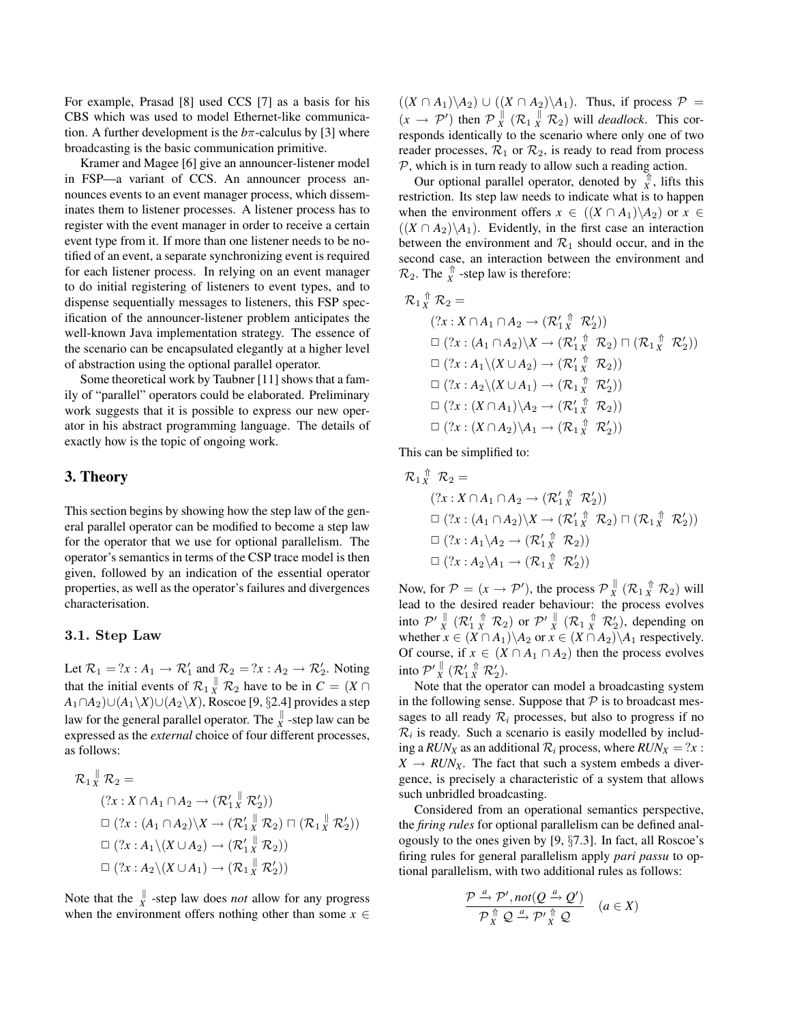For example, Prasad [8] used CCS [7] as a basis for his CBS which was used to model Ethernet-like communication. A further development is the  $b\pi$ -calculus by [3] where broadcasting is the basic communication primitive.

Kramer and Magee [6] give an announcer-listener model in FSP—a variant of CCS. An announcer process announces events to an event manager process, which disseminates them to listener processes. A listener process has to register with the event manager in order to receive a certain event type from it. If more than one listener needs to be notified of an event, a separate synchronizing event is required for each listener process. In relying on an event manager to do initial registering of listeners to event types, and to dispense sequentially messages to listeners, this FSP specification of the announcer-listener problem anticipates the well-known Java implementation strategy. The essence of the scenario can be encapsulated elegantly at a higher level of abstraction using the optional parallel operator.

Some theoretical work by Taubner [11] shows that a family of "parallel" operators could be elaborated. Preliminary work suggests that it is possible to express our new operator in his abstract programming language. The details of exactly how is the topic of ongoing work.

# 3. Theory

This section begins by showing how the step law of the general parallel operator can be modified to become a step law for the operator that we use for optional parallelism. The operator's semantics in terms of the CSP trace model is then given, followed by an indication of the essential operator properties, as well as the operator's failures and divergences characterisation.

#### 3.1. Step Law

Let  $\mathcal{R}_1 = ?x : A_1 \to \mathcal{R}'_1$  and  $\mathcal{R}_2 = ?x : A_2 \to \mathcal{R}'_2$ . Noting that the initial events of  $\mathcal{R}_1 \stackrel{\parallel}{X} \mathcal{R}_2$  have to be in  $C = (X \cap$ *A*1∩*A*2)∪(*A*1\*X*)∪(*A*2\*X*), Roscoe [9, §2.4] provides a step law for the general parallel operator. The  $\frac{\parallel}{X}$  -step law can be expressed as the *external* choice of four different processes, as follows:

$$
\mathcal{R}_1 \stackrel{\parallel}{X} \mathcal{R}_2 =
$$
\n
$$
(?x : X \cap A_1 \cap A_2 \to (\mathcal{R}_1' \stackrel{\parallel}{X} \mathcal{R}_2'))
$$
\n
$$
\Box (?x : (A_1 \cap A_2) \setminus X \to (\mathcal{R}_1' \stackrel{\parallel}{X} \mathcal{R}_2) \sqcap (\mathcal{R}_1 \stackrel{\parallel}{X} \mathcal{R}_2'))
$$
\n
$$
\Box (?x : A_1 \setminus (X \cup A_2) \to (\mathcal{R}_1' \stackrel{\parallel}{X} \mathcal{R}_2))
$$
\n
$$
\Box (?x : A_2 \setminus (X \cup A_1) \to (\mathcal{R}_1 \stackrel{\parallel}{X} \mathcal{R}_2'))
$$

Note that the  $\int_{X}^{\parallel}$  -step law does *not* allow for any progress when the environment offers nothing other than some  $x \in$ 

 $((X \cap A_1)\A_2) \cup ((X \cap A_2)\A_1)$ . Thus, if process  $\mathcal{P}$  =  $(x \rightarrow \mathcal{P}')$  then  $\mathcal{P}_X^{\parallel}$  $\frac{N}{X}$   $(\mathcal{R}_1 \frac{N}{X} \mathcal{R}_2)$  will *deadlock*. This corresponds identically to the scenario where only one of two reader processes,  $\mathcal{R}_1$  or  $\mathcal{R}_2$ , is ready to read from process  $P$ , which is in turn ready to allow such a reading action.

Our optional parallel operator, denoted by  $\overrightarrow{x}$ , lifts this restriction. Its step law needs to indicate what is to happen when the environment offers  $x \in ((X \cap A_1)\backslash A_2)$  or  $x \in$  $((X \cap A_2) \setminus A_1)$ . Evidently, in the first case an interaction between the environment and  $\mathcal{R}_1$  should occur, and in the second case, an interaction between the environment and  $\mathcal{R}_2$ . The  $\int_{X}^{\uparrow}$  -step law is therefore:

$$
\mathcal{R}_1 \overset{\uparrow}{X} \mathcal{R}_2 =
$$
\n
$$
(?x : X \cap A_1 \cap A_2 \to (\mathcal{R}_1' \overset{\uparrow}{X} \mathcal{R}_2'))
$$
\n
$$
\Box (?x : (A_1 \cap A_2) \backslash X \to (\mathcal{R}_1' \overset{\uparrow}{X} \mathcal{R}_2) \sqcap (\mathcal{R}_1 \overset{\uparrow}{X} \mathcal{R}_2'))
$$
\n
$$
\Box (?x : A_1 \backslash (X \cup A_2) \to (\mathcal{R}_1' \overset{\uparrow}{X} \mathcal{R}_2))
$$
\n
$$
\Box (?x : A_2 \backslash (X \cup A_1) \to (\mathcal{R}_1 \overset{\uparrow}{X} \mathcal{R}_2'))
$$
\n
$$
\Box (?x : (X \cap A_1) \backslash A_2 \to (\mathcal{R}_1' \overset{\uparrow}{X} \mathcal{R}_2))
$$
\n
$$
\Box (?x : (X \cap A_2) \backslash A_1 \to (\mathcal{R}_1 \overset{\uparrow}{X} \mathcal{R}_2'))
$$

This can be simplified to:

$$
\mathcal{R}_1 \overset{\Uparrow}{X} \mathcal{R}_2 =
$$
\n
$$
(?x : X \cap A_1 \cap A_2 \to (\mathcal{R}_1' \overset{\Uparrow}{X} \mathcal{R}_2'))
$$
\n
$$
\Box (?x : (A_1 \cap A_2) \backslash X \to (\mathcal{R}_1' \overset{\Uparrow}{X} \mathcal{R}_2) \sqcap (\mathcal{R}_1 \overset{\Uparrow}{X} \mathcal{R}_2'))
$$
\n
$$
\Box (?x : A_1 \backslash A_2 \to (\mathcal{R}_1' \overset{\Uparrow}{X} \mathcal{R}_2'))
$$
\n
$$
\Box (?x : A_2 \backslash A_1 \to (\mathcal{R}_1 \overset{\Uparrow}{X} \mathcal{R}_2'))
$$

Now, for  $P = (x \rightarrow P')$ , the process  $P_{x}^{\parallel}$  $_{X}^{\parallel}$   $(\mathcal{R}_{1} \,$   $_{X}^{\Uparrow}$   $\mathcal{R}_{2})$  will lead to the desired reader behaviour: the process evolves into  $\mathcal{P}'_X^{\parallel}$  ( $\mathcal{R}'_1$   $_{X}^{\uparrow}$   $\mathcal{R}_2$ ) or  $\mathcal{P}'_X^{\parallel}$  ( $\mathcal{R}_1$   $_{X}^{\uparrow}$   $\mathcal{R}'_2$ ), depending on whether  $x \in (X \cap A_1) \setminus A_2$  or  $x \in (X \cap A_2) \setminus A_1$  respectively. Of course, if  $x \in (X \cap A_1 \cap A_2)$  then the process evolves into  $\mathcal{P'}_X^{\parallel}$  ( $\mathcal{R}'_1 \mathop \wedge \limits^{\Uparrow} \mathcal{R}'_2$ ).

Note that the operator can model a broadcasting system in the following sense. Suppose that  $P$  is to broadcast messages to all ready  $\mathcal{R}_i$  processes, but also to progress if no  $\mathcal{R}_i$  is ready. Such a scenario is easily modelled by including a *RUN*<sub>*X*</sub> as an additional  $\mathcal{R}_i$  process, where  $RUN_X = ?x$ :  $X \rightarrow RUN_X$ . The fact that such a system embeds a divergence, is precisely a characteristic of a system that allows such unbridled broadcasting.

Considered from an operational semantics perspective, the *firing rules* for optional parallelism can be defined analogously to the ones given by [9, §7.3]. In fact, all Roscoe's firing rules for general parallelism apply *pari passu* to optional parallelism, with two additional rules as follows:

$$
\frac{\mathcal{P}\xrightarrow{a}\mathcal{P}', not(Q\xrightarrow{a}\mathcal{Q}')}{\mathcal{P}\xleftarrow{\uparrow} Q\xrightarrow{a}\mathcal{P}'\xleftarrow{\uparrow} Q} \quad (a \in X)
$$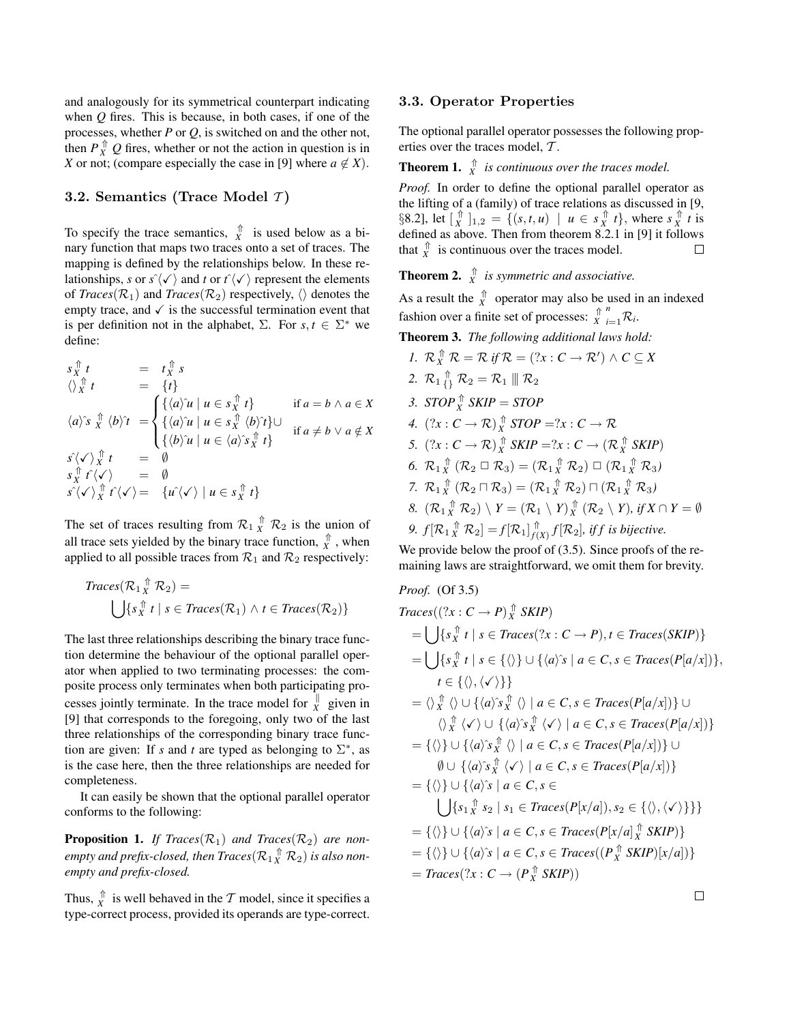and analogously for its symmetrical counterpart indicating when *Q* fires. This is because, in both cases, if one of the processes, whether *P* or *Q*, is switched on and the other not, then  $P_X^{\uparrow} Q$  fires, whether or not the action in question is in *X* or not; (compare especially the case in [9] where  $a \notin X$ ).

#### 3.2. Semantics (Trace Model  $\tau$ )

To specify the trace semantics,  $\hat{X}$  is used below as a binary function that maps two traces onto a set of traces. The mapping is defined by the relationships below. In these relationships, *s* or  $s^2\langle \checkmark \rangle$  and *t* or  $t^2\langle \checkmark \rangle$  represent the elements of *Traces*( $\mathcal{R}_1$ ) and *Traces*( $\mathcal{R}_2$ ) respectively,  $\langle \rangle$  denotes the empty trace, and  $\checkmark$  is the successful termination event that is per definition not in the alphabet,  $\Sigma$ . For  $s, t \in \Sigma^*$  we define:

$$
s_X^{\uparrow} t = t_X^{\uparrow} s
$$
  
\n
$$
\langle \rangle_X^{\uparrow} t = \{t\}
$$
  
\n
$$
\langle a \rangle^s x \langle b \rangle^{\uparrow} t = \begin{cases} {\{\langle a \rangle u \mid u \in s_X^{\uparrow} t\}} & \text{if } a = b \land a \in X \\ {\{\langle a \rangle u \mid u \in s_X^{\uparrow} \langle b \rangle \rangle} \cup \\ {\{\langle b \rangle u \mid u \in \langle a \rangle s_X^{\uparrow} t\}} & \text{if } a \neq b \lor a \notin X \end{cases}
$$
  
\n
$$
s_X^{\uparrow} \langle \checkmark \rangle^{\uparrow} t = \emptyset
$$
  
\n
$$
s_X^{\uparrow} \hat{f} \langle \checkmark \rangle = \emptyset
$$
  
\n
$$
s_Y^{\uparrow} \langle \checkmark \rangle^{\uparrow} t \langle \checkmark \rangle = {\{\langle a \rangle \langle \checkmark \rangle \mid u \in s_X^{\uparrow} t\}}}
$$

The set of traces resulting from  $\mathcal{R}_1 \uparrow \atop X \mathcal{R}_2$  is the union of all trace sets yielded by the binary trace function,  $\hat{X}$ , when applied to all possible traces from  $\mathcal{R}_1$  and  $\mathcal{R}_2$  respectively:

$$
Traces(\mathcal{R}_1 \mathop{\uparrow}\limits^{\Uparrow}_{X} \mathcal{R}_2) = \bigcup \{ s_X^{\Uparrow} t \mid s \in Traces(\mathcal{R}_1) \land t \in Traces(\mathcal{R}_2) \}
$$

The last three relationships describing the binary trace function determine the behaviour of the optional parallel operator when applied to two terminating processes: the composite process only terminates when both participating processes jointly terminate. In the trace model for  $\frac{1}{x}$  given in [9] that corresponds to the foregoing, only two of the last three relationships of the corresponding binary trace function are given: If *s* and *t* are typed as belonging to  $\Sigma^*$ , as is the case here, then the three relationships are needed for completeness.

It can easily be shown that the optional parallel operator conforms to the following:

**Proposition 1.** *If Traces*( $\mathcal{R}_1$ ) *and Traces*( $\mathcal{R}_2$ ) *are non*empty and prefix-closed, then  $Traces(\mathcal{R}_1 \mathop{X}\limits^{\Uparrow} \mathcal{R}_2)$  is also non*empty and prefix-closed.*

Thus,  $\int_X^{\hat{\pi}}$  is well behaved in the T model, since it specifies a type-correct process, provided its operands are type-correct.

#### 3.3. Operator Properties

The optional parallel operator possesses the following properties over the traces model, T .

**Theorem 1.**  $\int_{X}^{\uparrow}$  *is continuous over the traces model.* 

*Proof.* In order to define the optional parallel operator as the lifting of a (family) of trace relations as discussed in [9, §8.2], let  $\begin{bmatrix} \hat{x} \\ \hat{x} \end{bmatrix}$   $\begin{bmatrix} 1 \\ 1,2 \end{bmatrix} = \{ (s, t, u) \mid u \in s \hat{x}^{\text{th}} t \}$ , where  $s \hat{x}^{\text{th}} t$  is defined as above. Then from theorem 8.2.1 in [9] it follows that  $\hat{X}$  is continuous over the traces model.  $\Box$ 

**Theorem 2.**  $\int_{X}^{\uparrow}$  *is symmetric and associative.* 

As a result the  $\hat{X}$  operator may also be used in an indexed fashion over a finite set of processes:  $\hat{X}$  $n \choose i=1}$ R<sub>i</sub>.

- Theorem 3. *The following additional laws hold: 1.*  $\mathcal{R}_X^{\uparrow\uparrow} \mathcal{R} = \mathcal{R}$  if  $\mathcal{R} = (?x : C \rightarrow \mathcal{R}') \land C \subseteq X$ 2.  $\mathcal{R}_1 \underset{\{ \}}{\uparrow} \mathcal{R}_2 = \mathcal{R}_1 \parallel \mathcal{R}_2$ *3.*  $STOP_R^{\Uparrow}$   $SKIP = STOP$ 4.  $(?x : C \rightarrow \mathcal{R}) \overset{\uparrow}{\underset{X}{\times}} STOP = ?x : C \rightarrow \mathcal{R}$ 5.  $(?x : C \rightarrow \mathcal{R}) \overset{\uparrow}{X}$  *SKIP* =  $?x : C \rightarrow (\mathcal{R} \overset{\uparrow}{X}$  *SKIP*) 6.  $\mathcal{R}_1 \overset{\uparrow}{X} (\mathcal{R}_2 \square \mathcal{R}_3) = (\mathcal{R}_1 \overset{\uparrow}{X} \mathcal{R}_2) \square (\mathcal{R}_1 \overset{\uparrow}{X} \mathcal{R}_3)$ 7.  $\mathcal{R}_1 \overset{\uparrow}{X} (\mathcal{R}_2 \sqcap \mathcal{R}_3) = (\mathcal{R}_1 \overset{\uparrow}{X} \mathcal{R}_2) \sqcap (\mathcal{R}_1 \overset{\uparrow}{X} \mathcal{R}_3)$ 8.  $(\mathcal{R}_1 \nightharpoonup^{\oplus} \mathcal{R}_2) \setminus Y = (\mathcal{R}_1 \setminus Y) \nightharpoonup^{\oplus} \mathcal{R}_2 \setminus Y)$ , if  $X \cap Y = \emptyset$ 
	- 9.  $f[\mathcal{R}_1 \mathop{\wedge}\limits^{\Uparrow}_{X} \mathcal{R}_2] = f[\mathcal{R}_1] \mathop{\wedge}\limits^{\Uparrow}_{f(A)}$  $\int_{f(X)}^{\mathbb{T}} f[\mathcal{R}_2]$ , *iff is bijective.*

We provide below the proof of  $(3.5)$ . Since proofs of the remaining laws are straightforward, we omit them for brevity.

*Proof.* (Of 3.5)  $Traces((?x : C \rightarrow P) \times^{\Uparrow} SKIP)$  $=\bigcup \{s_X^{\uparrow\uparrow} t \mid s \in \text{Traces}(?x : C \rightarrow P), t \in \text{Traces}(\text{SKIP})\}$  $=\bigcup \{s_X^{\uparrow\uparrow} t \mid s \in \{\langle \rangle\} \cup \{\langle a \rangle\hat{\ } s \mid a \in C, s \in \text{Traces}(P[a/x])\},\}$ 

 $t \in \{\langle \rangle,\langle \checkmark \rangle \}$  $= \langle \rangle_X^{\uparrow\uparrow} \langle \rangle \cup \{ \langle a \rangle^{\hat{}s} \chi \langle \rangle \mid a \in C, s \in Traces(P[a/x]) \}$  ∪  $\langle \rangle_X^{\uparrow\uparrow} \langle \checkmark \rangle \cup \{ \langle a \rangle \hat{\sigma}_X^{\uparrow\uparrow} \langle \checkmark \rangle \mid a \in C, s \in \text{Traces}(P[a/x]) \}$  $= {\langle \langle \rangle}$  ∪  ${\langle \langle a \rangle \rangle}$ s  $\stackrel{\frown}{X}$   $\langle \rangle$  | *a* ∈ *C*, *s* ∈ *Traces*(*P*[*a*/*x*])} ∪  $\emptyset \cup \{\langle a \rangle \hat{s}_X^{\uparrow} \langle \checkmark \rangle \mid a \in C, s \in Traces(P[a/x])\}$  $=$   $f \wedge 1 + f(a \wedge^2 : a \in C, s \in C$ 

$$
\bigcup \{s_1 \overset{\uparrow}{X} s_2 \mid s_1 \in \text{Traces}(P[x/a]), s_2 \in \{\langle \rangle, \langle \checkmark \rangle\} \}
$$
\n
$$
= \{\langle \rangle\} \cup \{\langle a \rangle \hat{s} \mid a \in C, s \in \text{Traces}(P[x/a] \overset{\uparrow}{X} \text{ SKIP})\}
$$
\n
$$
= \{\langle \rangle\} \cup \{\langle a \rangle \hat{s} \mid a \in C, s \in \text{Traces}((P_X^{\uparrow} \text{ SKIP})[x/a])\}
$$
\n
$$
= \text{Traces}(\langle x : C \to (P_X^{\uparrow} \text{ SKIP}) \rangle)
$$